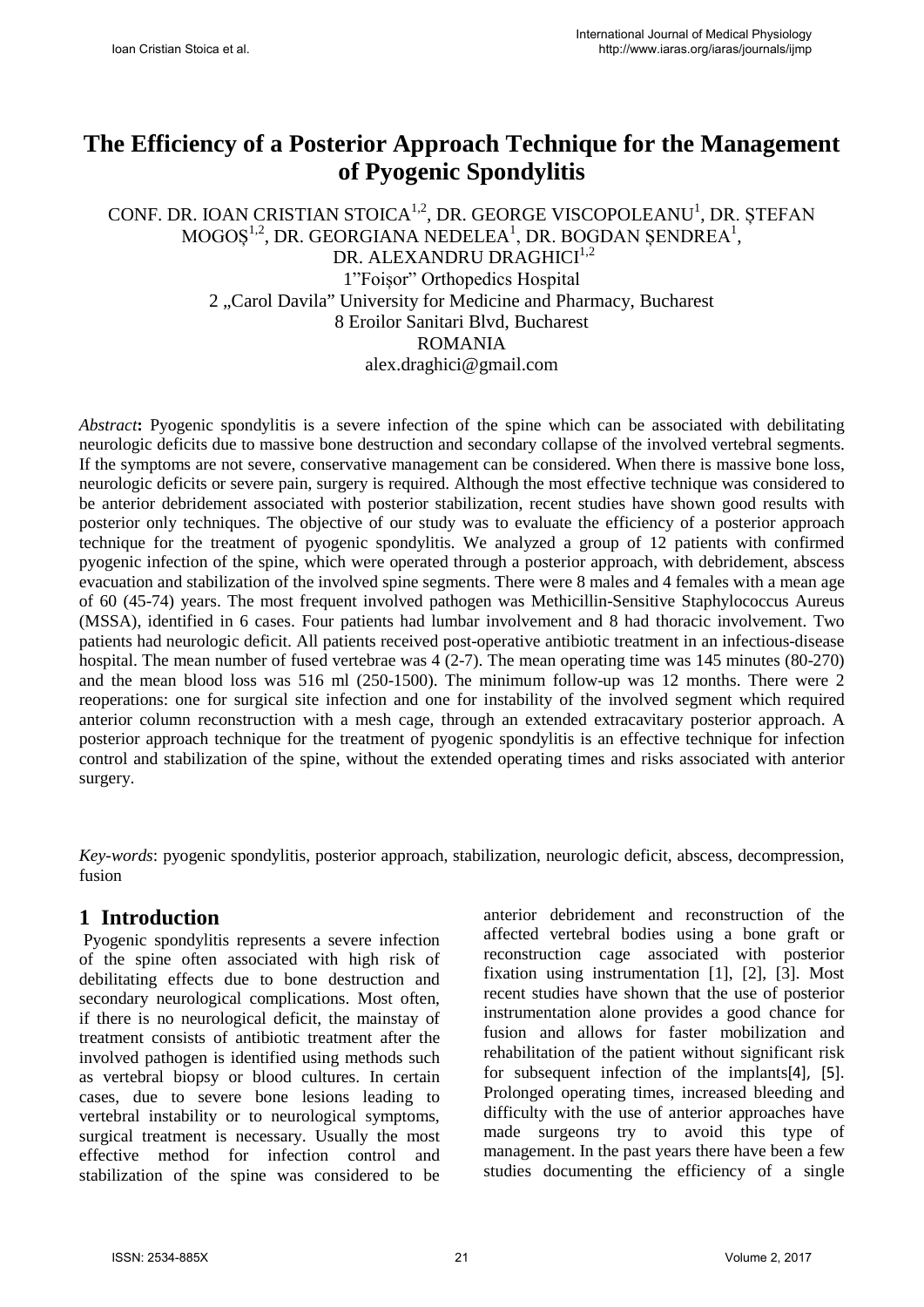# **The Efficiency of a Posterior Approach Technique for the Management of Pyogenic Spondylitis**

CONF. DR. IOAN CRISTIAN STOICA $^{1,2}$ , DR. GEORGE VISCOPOLEANU<sup>1</sup>, DR. ȘTEFAN  $MOGOS^{1,2}$ , DR. GEORGIANA NEDELEA<sup>1</sup>, DR. BOGDAN ȘENDREA<sup>1</sup>, DR. ALEXANDRU DRAGHICI<sup>1,2</sup> 1"Foișor" Orthopedics Hospital 2 "Carol Davila" University for Medicine and Pharmacy, Bucharest 8 Eroilor Sanitari Blvd, Bucharest ROMANIA alex.draghici@gmail.com

*Abstract***:** Pyogenic spondylitis is a severe infection of the spine which can be associated with debilitating neurologic deficits due to massive bone destruction and secondary collapse of the involved vertebral segments. If the symptoms are not severe, conservative management can be considered. When there is massive bone loss, neurologic deficits or severe pain, surgery is required. Although the most effective technique was considered to be anterior debridement associated with posterior stabilization, recent studies have shown good results with posterior only techniques. The objective of our study was to evaluate the efficiency of a posterior approach technique for the treatment of pyogenic spondylitis. We analyzed a group of 12 patients with confirmed pyogenic infection of the spine, which were operated through a posterior approach, with debridement, abscess evacuation and stabilization of the involved spine segments. There were 8 males and 4 females with a mean age of 60 (45-74) years. The most frequent involved pathogen was Methicillin-Sensitive Staphylococcus Aureus (MSSA), identified in 6 cases. Four patients had lumbar involvement and 8 had thoracic involvement. Two patients had neurologic deficit. All patients received post-operative antibiotic treatment in an infectious-disease hospital. The mean number of fused vertebrae was  $4(2-7)$ . The mean operating time was 145 minutes (80-270) and the mean blood loss was 516 ml (250-1500). The minimum follow-up was 12 months. There were 2 reoperations: one for surgical site infection and one for instability of the involved segment which required anterior column reconstruction with a mesh cage, through an extended extracavitary posterior approach. A posterior approach technique for the treatment of pyogenic spondylitis is an effective technique for infection control and stabilization of the spine, without the extended operating times and risks associated with anterior surgery.

*Key-words*: pyogenic spondylitis, posterior approach, stabilization, neurologic deficit, abscess, decompression, fusion

### **1 Introduction**

Pyogenic spondylitis represents a severe infection of the spine often associated with high risk of debilitating effects due to bone destruction and secondary neurological complications. Most often, if there is no neurological deficit, the mainstay of treatment consists of antibiotic treatment after the involved pathogen is identified using methods such as vertebral biopsy or blood cultures. In certain cases, due to severe bone lesions leading to vertebral instability or to neurological symptoms, surgical treatment is necessary. Usually the most effective method for infection control and stabilization of the spine was considered to be anterior debridement and reconstruction of the affected vertebral bodies using a bone graft or reconstruction cage associated with posterior fixation using instrumentation [1], [2], [3]. Most recent studies have shown that the use of posterior instrumentation alone provides a good chance for fusion and allows for faster mobilization and rehabilitation of the patient without significant risk for subsequent infection of the implants[4], [5]. Prolonged operating times, increased bleeding and difficulty with the use of anterior approaches have made surgeons try to avoid this type of management. In the past years there have been a few studies documenting the efficiency of a single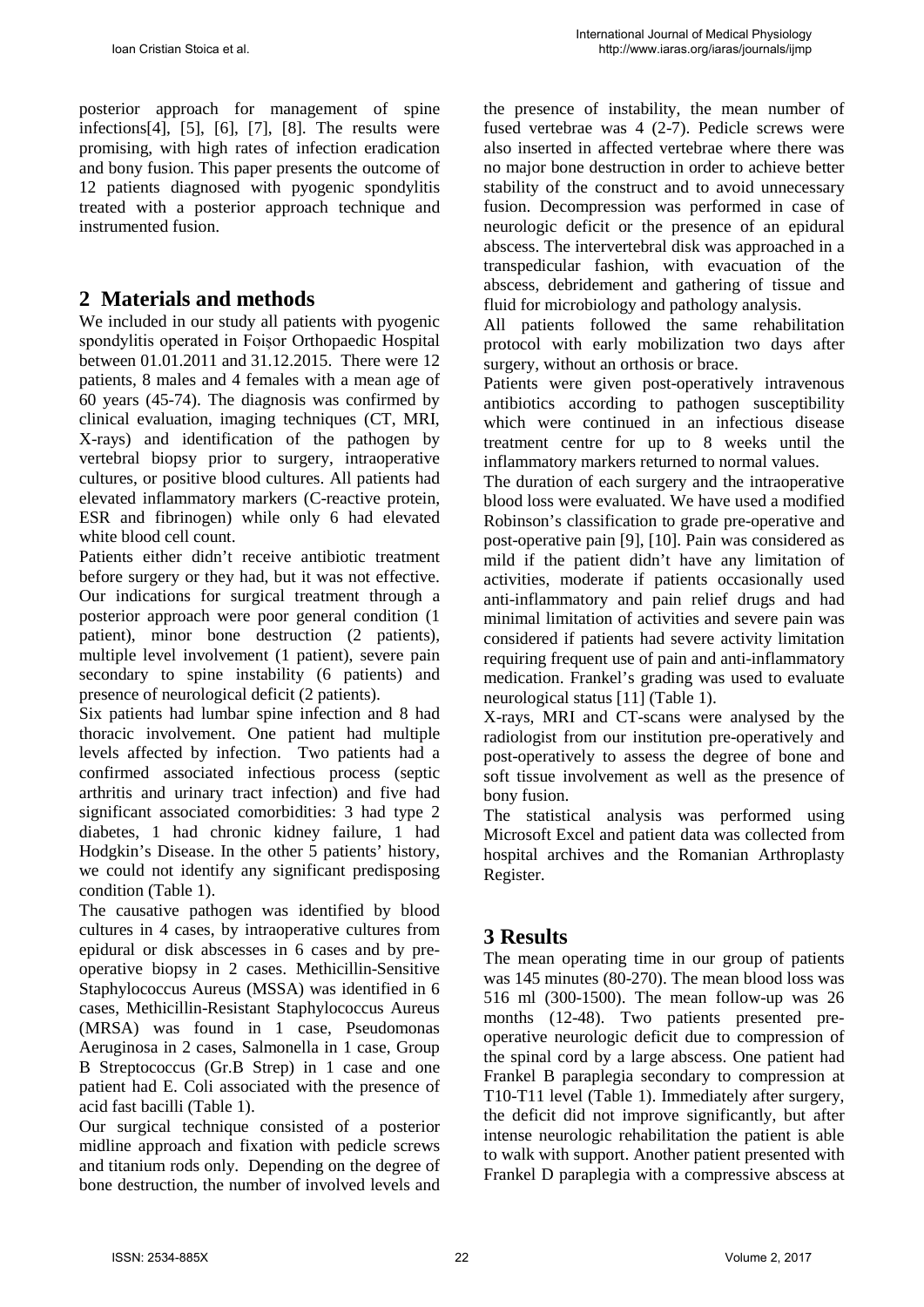posterior approach for management of spine infections[4], [5], [6], [7], [8]. The results were promising, with high rates of infection eradication and bony fusion. This paper presents the outcome of 12 patients diagnosed with pyogenic spondylitis treated with a posterior approach technique and instrumented fusion.

# **2 Materials and methods**

We included in our study all patients with pyogenic spondylitis operated in Foișor Orthopaedic Hospital between 01.01.2011 and 31.12.2015. There were 12 patients, 8 males and 4 females with a mean age of 60 years (45-74). The diagnosis was confirmed by clinical evaluation, imaging techniques (CT, MRI, X-rays) and identification of the pathogen by vertebral biopsy prior to surgery, intraoperative cultures, or positive blood cultures. All patients had elevated inflammatory markers (C-reactive protein, ESR and fibrinogen) while only 6 had elevated white blood cell count.

Patients either didn't receive antibiotic treatment before surgery or they had, but it was not effective. Our indications for surgical treatment through a posterior approach were poor general condition (1 patient), minor bone destruction (2 patients), multiple level involvement (1 patient), severe pain secondary to spine instability (6 patients) and presence of neurological deficit (2 patients).

Six patients had lumbar spine infection and 8 had thoracic involvement. One patient had multiple levels affected by infection. Two patients had a confirmed associated infectious process (septic arthritis and urinary tract infection) and five had significant associated comorbidities: 3 had type 2 diabetes, 1 had chronic kidney failure, 1 had Hodgkin's Disease. In the other 5 patients' history, we could not identify any significant predisposing condition (Table 1).

The causative pathogen was identified by blood cultures in 4 cases, by intraoperative cultures from epidural or disk abscesses in 6 cases and by preoperative biopsy in 2 cases. Methicillin-Sensitive Staphylococcus Aureus (MSSA) was identified in 6 cases, Methicillin-Resistant Staphylococcus Aureus (MRSA) was found in 1 case, Pseudomonas Aeruginosa in 2 cases, Salmonella in 1 case, Group B Streptococcus (Gr.B Strep) in 1 case and one patient had E. Coli associated with the presence of acid fast bacilli (Table 1).

Our surgical technique consisted of a posterior midline approach and fixation with pedicle screws and titanium rods only. Depending on the degree of bone destruction, the number of involved levels and the presence of instability, the mean number of fused vertebrae was 4 (2-7). Pedicle screws were also inserted in affected vertebrae where there was no major bone destruction in order to achieve better stability of the construct and to avoid unnecessary fusion. Decompression was performed in case of neurologic deficit or the presence of an epidural abscess. The intervertebral disk was approached in a transpedicular fashion, with evacuation of the abscess, debridement and gathering of tissue and fluid for microbiology and pathology analysis.

All patients followed the same rehabilitation protocol with early mobilization two days after surgery, without an orthosis or brace.

Patients were given post-operatively intravenous antibiotics according to pathogen susceptibility which were continued in an infectious disease treatment centre for up to 8 weeks until the inflammatory markers returned to normal values.

The duration of each surgery and the intraoperative blood loss were evaluated. We have used a modified Robinson's classification to grade pre-operative and post-operative pain [9], [10]. Pain was considered as mild if the patient didn't have any limitation of activities, moderate if patients occasionally used anti-inflammatory and pain relief drugs and had minimal limitation of activities and severe pain was considered if patients had severe activity limitation requiring frequent use of pain and anti-inflammatory medication. Frankel's grading was used to evaluate neurological status [11] (Table 1).

X-rays, MRI and CT-scans were analysed by the radiologist from our institution pre-operatively and post-operatively to assess the degree of bone and soft tissue involvement as well as the presence of bony fusion.

The statistical analysis was performed using Microsoft Excel and patient data was collected from hospital archives and the Romanian Arthroplasty Register.

# **3 Results**

The mean operating time in our group of patients was 145 minutes (80-270). The mean blood loss was 516 ml (300-1500). The mean follow-up was 26 months (12-48). Two patients presented preoperative neurologic deficit due to compression of the spinal cord by a large abscess. One patient had Frankel B paraplegia secondary to compression at T10-T11 level (Table 1). Immediately after surgery, the deficit did not improve significantly, but after intense neurologic rehabilitation the patient is able to walk with support. Another patient presented with Frankel D paraplegia with a compressive abscess at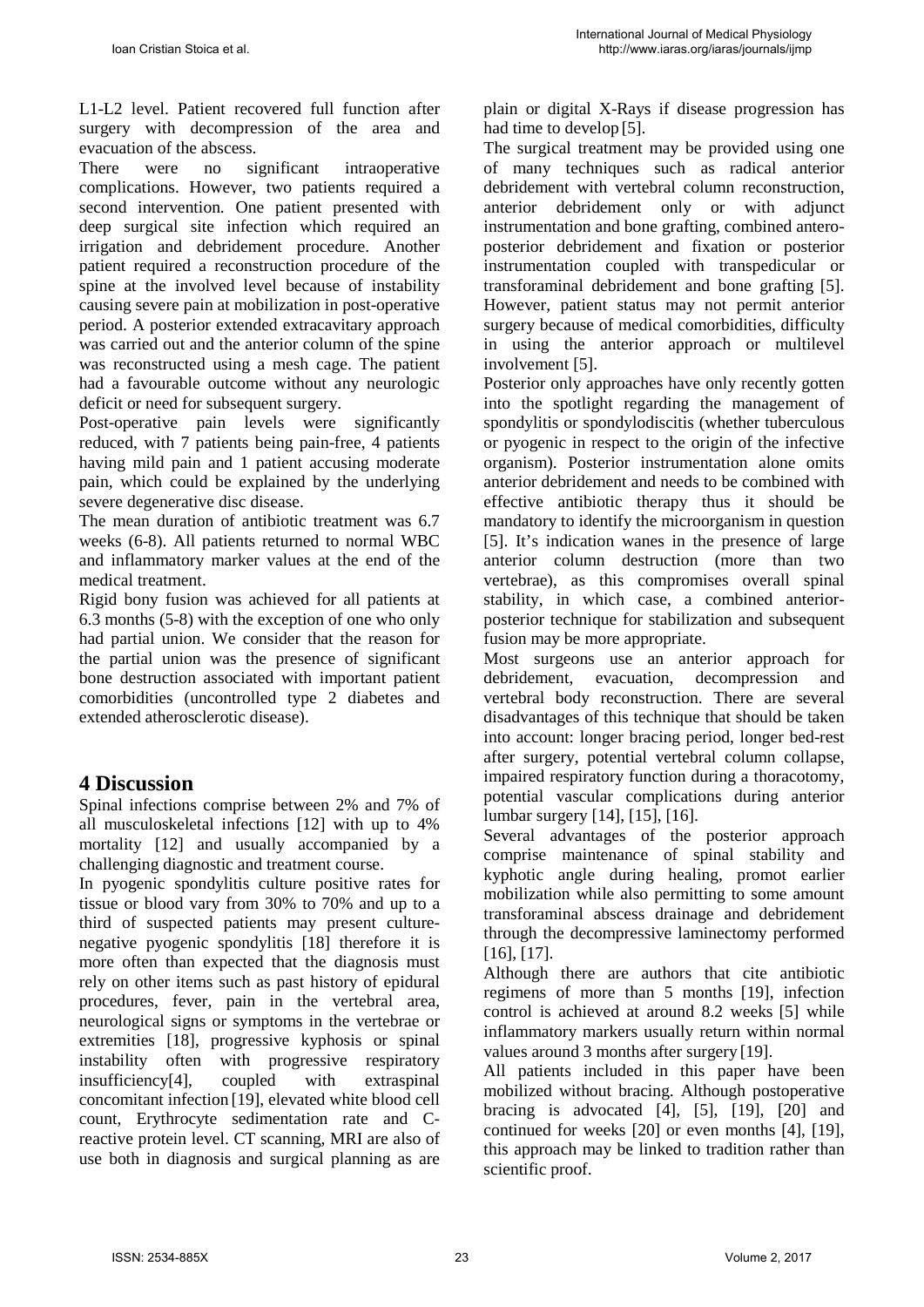L1-L2 level. Patient recovered full function after surgery with decompression of the area and evacuation of the abscess.

There were no significant intraoperative complications. However, two patients required a second intervention. One patient presented with deep surgical site infection which required an irrigation and debridement procedure. Another patient required a reconstruction procedure of the spine at the involved level because of instability causing severe pain at mobilization in post-operative period. A posterior extended extracavitary approach was carried out and the anterior column of the spine was reconstructed using a mesh cage. The patient had a favourable outcome without any neurologic deficit or need for subsequent surgery.

Post-operative pain levels were significantly reduced, with 7 patients being pain-free, 4 patients having mild pain and 1 patient accusing moderate pain, which could be explained by the underlying severe degenerative disc disease.

The mean duration of antibiotic treatment was 6.7 weeks (6-8). All patients returned to normal WBC and inflammatory marker values at the end of the medical treatment.

Rigid bony fusion was achieved for all patients at 6.3 months (5-8) with the exception of one who only had partial union. We consider that the reason for the partial union was the presence of significant bone destruction associated with important patient comorbidities (uncontrolled type 2 diabetes and extended atherosclerotic disease).

# **4 Discussion**

Spinal infections comprise between 2% and 7% of all musculoskeletal infections [12] with up to 4% mortality [12] and usually accompanied by a challenging diagnostic and treatment course.

In pyogenic spondylitis culture positive rates for tissue or blood vary from 30% to 70% and up to a third of suspected patients may present culturenegative pyogenic spondylitis [18] therefore it is more often than expected that the diagnosis must rely on other items such as past history of epidural procedures, fever, pain in the vertebral area, neurological signs or symptoms in the vertebrae or extremities [18], progressive kyphosis or spinal instability often with progressive respiratory insufficiency[4], coupled with extraspinal concomitant infection [19], elevated white blood cell count, Erythrocyte sedimentation rate and Creactive protein level. CT scanning, MRI are also of use both in diagnosis and surgical planning as are plain or digital X-Rays if disease progression has had time to develop [5].

The surgical treatment may be provided using one of many techniques such as radical anterior debridement with vertebral column reconstruction, anterior debridement only or with adjunct instrumentation and bone grafting, combined anteroposterior debridement and fixation or posterior instrumentation coupled with transpedicular or transforaminal debridement and bone grafting [5]. However, patient status may not permit anterior surgery because of medical comorbidities, difficulty in using the anterior approach or multilevel involvement [5].

Posterior only approaches have only recently gotten into the spotlight regarding the management of spondylitis or spondylodiscitis (whether tuberculous or pyogenic in respect to the origin of the infective organism). Posterior instrumentation alone omits anterior debridement and needs to be combined with effective antibiotic therapy thus it should be mandatory to identify the microorganism in question [5]. It's indication wanes in the presence of large anterior column destruction (more than two vertebrae), as this compromises overall spinal stability, in which case, a combined anteriorposterior technique for stabilization and subsequent fusion may be more appropriate.

Most surgeons use an anterior approach for debridement, evacuation, decompression and vertebral body reconstruction. There are several disadvantages of this technique that should be taken into account: longer bracing period, longer bed-rest after surgery, potential vertebral column collapse, impaired respiratory function during a thoracotomy, potential vascular complications during anterior lumbar surgery [14], [15], [16].

Several advantages of the posterior approach comprise maintenance of spinal stability and kyphotic angle during healing, promot earlier mobilization while also permitting to some amount transforaminal abscess drainage and debridement through the decompressive laminectomy performed [16], [17].

Although there are authors that cite antibiotic regimens of more than 5 months [19], infection control is achieved at around 8.2 weeks [5] while inflammatory markers usually return within normal values around 3 months after surgery [19].

All patients included in this paper have been mobilized without bracing. Although postoperative bracing is advocated [4], [5], [19], [20] and continued for weeks [20] or even months [4], [19], this approach may be linked to tradition rather than scientific proof.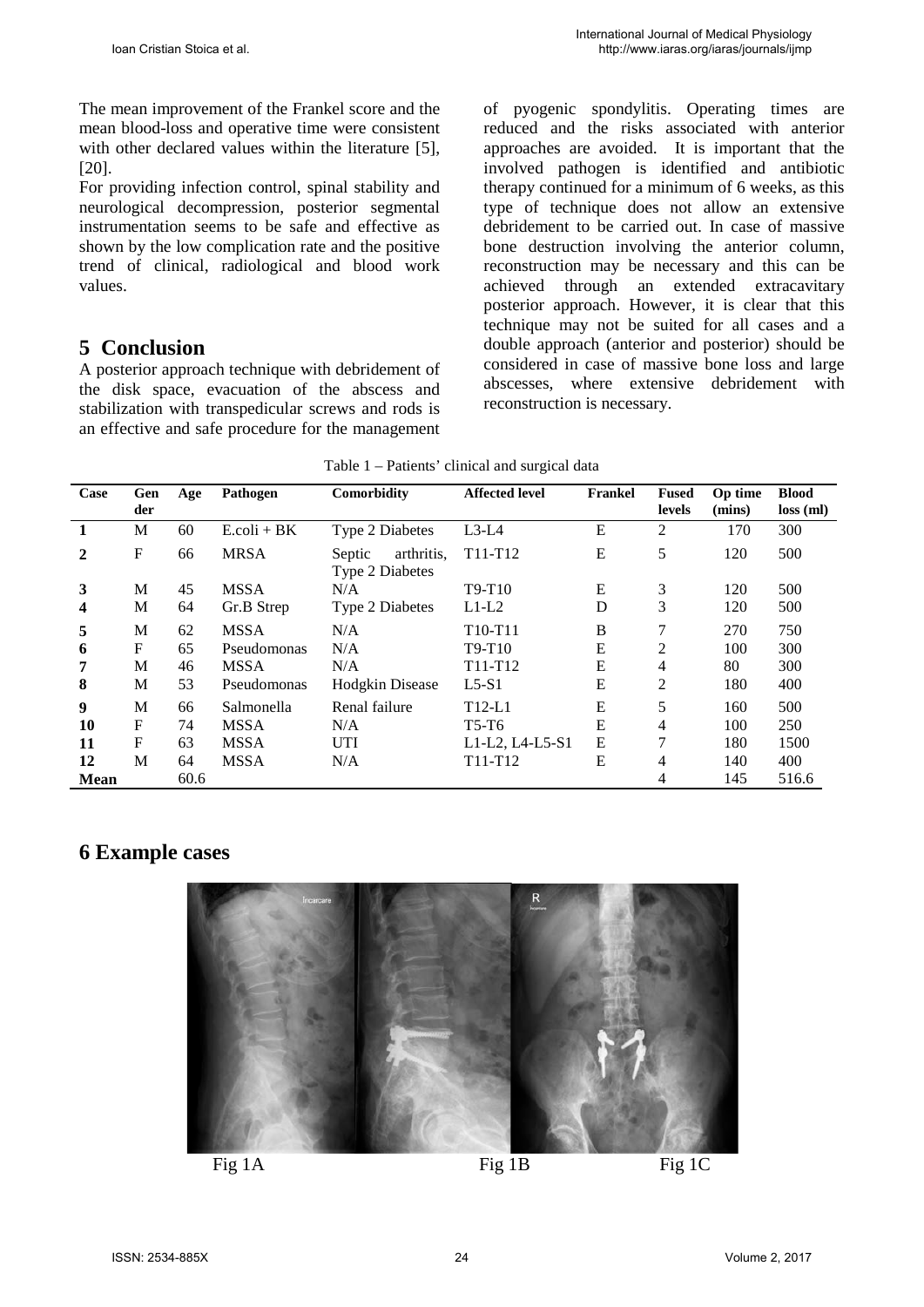The mean improvement of the Frankel score and the mean blood-loss and operative time were consistent with other declared values within the literature [5]. [20].

For providing infection control, spinal stability and neurological decompression, posterior segmental instrumentation seems to be safe and effective as shown by the low complication rate and the positive trend of clinical, radiological and blood work values.

### **5 Conclusion**

A posterior approach technique with debridement of the disk space, evacuation of the abscess and stabilization with transpedicular screws and rods is an effective and safe procedure for the management of pyogenic spondylitis. Operating times are reduced and the risks associated with anterior approaches are avoided. It is important that the involved pathogen is identified and antibiotic therapy continued for a minimum of 6 weeks, as this type of technique does not allow an extensive debridement to be carried out. In case of massive bone destruction involving the anterior column, reconstruction may be necessary and this can be achieved through an extended extracavitary posterior approach. However, it is clear that this technique may not be suited for all cases and a double approach (anterior and posterior) should be considered in case of massive bone loss and large abscesses, where extensive debridement with reconstruction is necessary.

|  | Table 1 - Patients' clinical and surgical data |  |  |
|--|------------------------------------------------|--|--|
|  |                                                |  |  |

| Case           | Gen<br>der  | Age  | Pathogen               | Comorbidity                                    | <b>Affected level</b>            | Frankel | <b>Fused</b><br>levels | Op time<br>(mins) | <b>Blood</b><br>$loss$ (ml) |
|----------------|-------------|------|------------------------|------------------------------------------------|----------------------------------|---------|------------------------|-------------------|-----------------------------|
|                | M           | 60   | $E_{\text{coli}} + BK$ | Type 2 Diabetes                                | $L3-L4$                          | E       | 2                      | 170               | 300                         |
| $\overline{2}$ | $\mathbf F$ | 66   | <b>MRSA</b>            | arthritis.<br>Septic<br><b>Type 2 Diabetes</b> | T11-T12                          | E       | 5                      | 120               | 500                         |
| 3              | M           | 45   | <b>MSSA</b>            | N/A                                            | $T9-T10$                         | E       | 3                      | 120               | 500                         |
| 4              | M           | 64   | Gr.B Strep             | Type 2 Diabetes                                | $L1-L2$                          | D       | 3                      | 120               | 500                         |
| 5              | M           | 62   | <b>MSSA</b>            | N/A                                            | T <sub>10</sub> -T <sub>11</sub> | B       | 7                      | 270               | 750                         |
| 6              | $\mathbf F$ | 65   | Pseudomonas            | N/A                                            | $T9-T10$                         | E       | 2                      | 100               | 300                         |
| 7              | M           | 46   | <b>MSSA</b>            | N/A                                            | $T11-T12$                        | E       | 4                      | 80                | 300                         |
| 8              | M           | 53   | Pseudomonas            | <b>Hodgkin Disease</b>                         | $L5-S1$                          | E       | 2                      | 180               | 400                         |
| 9              | M           | 66   | Salmonella             | Renal failure                                  | $T12-L1$                         | E       | 5                      | 160               | 500                         |
| 10             | F           | 74   | <b>MSSA</b>            | N/A                                            | T5-T6                            | E       | 4                      | 100               | 250                         |
| 11             | F           | 63   | <b>MSSA</b>            | <b>UTI</b>                                     | L1-L2, L4-L5-S1                  | E       | 7                      | 180               | 1500                        |
| 12             | M           | 64   | <b>MSSA</b>            | N/A                                            | $T11-T12$                        | E       | 4                      | 140               | 400                         |
| <b>Mean</b>    |             | 60.6 |                        |                                                |                                  |         | 4                      | 145               | 516.6                       |

### **6 Example cases**



Fig  $1$ A Fig  $1$ B Fig  $1$ C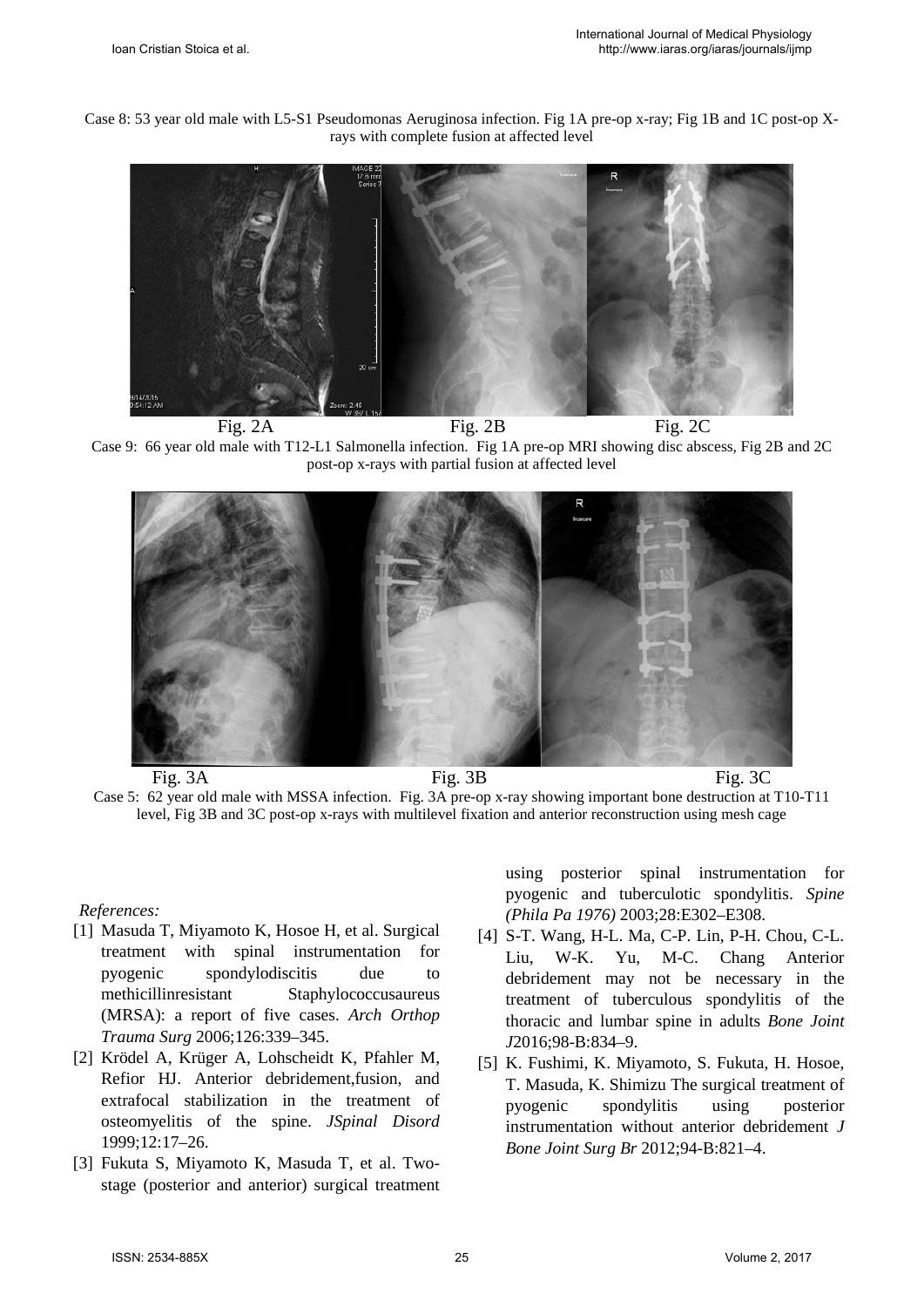Case 8: 53 year old male with L5-S1 Pseudomonas Aeruginosa infection. Fig 1A pre-op x-ray; Fig 1B and 1C post-op Xrays with complete fusion at affected level



Fig. 2A Fig. 2B Fig. 2C Case 9: 66 year old male with T12-L1 Salmonella infection. Fig 1A pre-op MRI showing disc abscess, Fig 2B and 2C post-op x-rays with partial fusion at affected level



Case 5: 62 year old male with MSSA infection. Fig. 3A pre-op x-ray showing important bone destruction at T10-T11 level, Fig 3B and 3C post-op x-rays with multilevel fixation and anterior reconstruction using mesh cage

#### *References:*

- [1] Masuda T, Miyamoto K, Hosoe H, et al. Surgical treatment with spinal instrumentation for pyogenic spondylodiscitis due to methicillinresistant Staphylococcusaureus (MRSA): a report of five cases. *Arch Orthop Trauma Surg* 2006;126:339–345.
- [2] Krödel A, Krüger A, Lohscheidt K, Pfahler M, Refior HJ. Anterior debridement,fusion, and extrafocal stabilization in the treatment of osteomyelitis of the spine. *JSpinal Disord*  1999;12:17–26.
- [3] Fukuta S, Miyamoto K, Masuda T, et al. Twostage (posterior and anterior) surgical treatment

using posterior spinal instrumentation for pyogenic and tuberculotic spondylitis. *Spine (Phila Pa 1976)* 2003;28:E302–E308.

- [4] S-T. Wang, H-L. Ma, C-P. Lin, P-H. Chou, C-L. Liu, W-K. Yu, M-C. Chang Anterior debridement may not be necessary in the treatment of tuberculous spondylitis of the thoracic and lumbar spine in adults *Bone Joint J*2016;98-B:834–9.
- [5] K. Fushimi, K. Miyamoto, S. Fukuta, H. Hosoe, T. Masuda, K. Shimizu The surgical treatment of pyogenic spondylitis using posterior instrumentation without anterior debridement *J Bone Joint Surg Br* 2012;94-B:821–4.